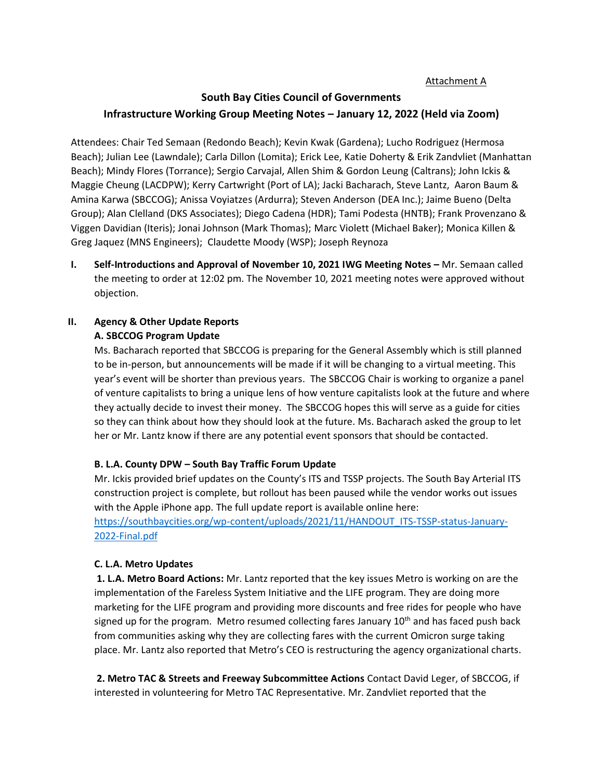# Attachment A

# **South Bay Cities Council of Governments Infrastructure Working Group Meeting Notes – January 12, 2022 (Held via Zoom)**

Attendees: Chair Ted Semaan (Redondo Beach); Kevin Kwak (Gardena); Lucho Rodriguez (Hermosa Beach); Julian Lee (Lawndale); Carla Dillon (Lomita); Erick Lee, Katie Doherty & Erik Zandvliet (Manhattan Beach); Mindy Flores (Torrance); Sergio Carvajal, Allen Shim & Gordon Leung (Caltrans); John Ickis & Maggie Cheung (LACDPW); Kerry Cartwright (Port of LA); Jacki Bacharach, Steve Lantz, Aaron Baum & Amina Karwa (SBCCOG); Anissa Voyiatzes (Ardurra); Steven Anderson (DEA Inc.); Jaime Bueno (Delta Group); Alan Clelland (DKS Associates); Diego Cadena (HDR); Tami Podesta (HNTB); Frank Provenzano & Viggen Davidian (Iteris); Jonai Johnson (Mark Thomas); Marc Violett (Michael Baker); Monica Killen & Greg Jaquez (MNS Engineers); Claudette Moody (WSP); Joseph Reynoza

**I.** Self-Introductions and Approval of November 10, 2021 IWG Meeting Notes – Mr. Semaan called the meeting to order at 12:02 pm. The November 10, 2021 meeting notes were approved without objection.

# **II. Agency & Other Update Reports A. SBCCOG Program Update**

Ms. Bacharach reported that SBCCOG is preparing for the General Assembly which is still planned to be in-person, but announcements will be made if it will be changing to a virtual meeting. This year's event will be shorter than previous years. The SBCCOG Chair is working to organize a panel of venture capitalists to bring a unique lens of how venture capitalists look at the future and where they actually decide to invest their money. The SBCCOG hopes this will serve as a guide for cities so they can think about how they should look at the future. Ms. Bacharach asked the group to let her or Mr. Lantz know if there are any potential event sponsors that should be contacted.

# **B. L.A. County DPW – South Bay Traffic Forum Update**

Mr. Ickis provided brief updates on the County's ITS and TSSP projects. The South Bay Arterial ITS construction project is complete, but rollout has been paused while the vendor works out issues with the Apple iPhone app. The full update report is available online here:

[https://southbaycities.org/wp-content/uploads/2021/11/HANDOUT\\_ITS-TSSP-status-January-](https://southbaycities.org/wp-content/uploads/2021/11/HANDOUT_ITS-TSSP-status-January-2022-Final.pdf)[2022-Final.pdf](https://southbaycities.org/wp-content/uploads/2021/11/HANDOUT_ITS-TSSP-status-January-2022-Final.pdf)

# **C. L.A. Metro Updates**

**1. L.A. Metro Board Actions:** Mr. Lantz reported that the key issues Metro is working on are the implementation of the Fareless System Initiative and the LIFE program. They are doing more marketing for the LIFE program and providing more discounts and free rides for people who have signed up for the program. Metro resumed collecting fares January  $10<sup>th</sup>$  and has faced push back from communities asking why they are collecting fares with the current Omicron surge taking place. Mr. Lantz also reported that Metro's CEO is restructuring the agency organizational charts.

**2. Metro TAC & Streets and Freeway Subcommittee Actions** Contact David Leger, of SBCCOG, if interested in volunteering for Metro TAC Representative. Mr. Zandvliet reported that the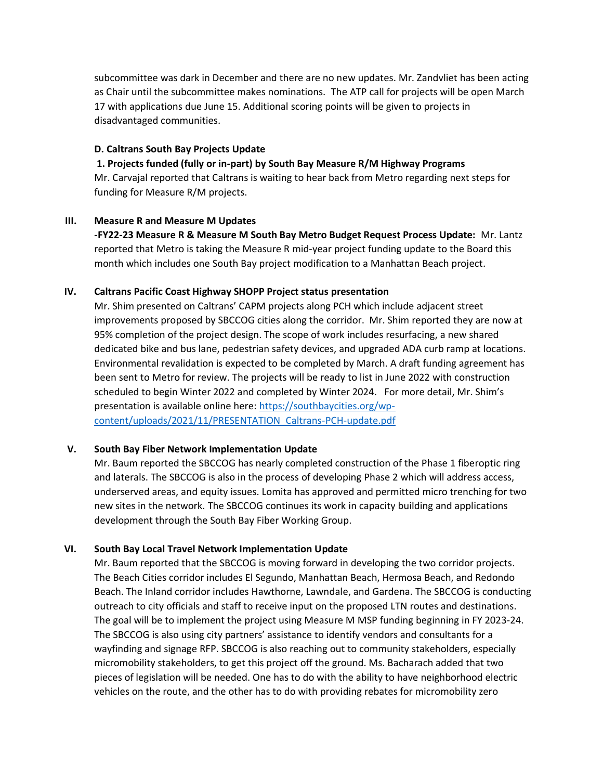subcommittee was dark in December and there are no new updates. Mr. Zandvliet has been acting as Chair until the subcommittee makes nominations. The ATP call for projects will be open March 17 with applications due June 15. Additional scoring points will be given to projects in disadvantaged communities.

# **D. Caltrans South Bay Projects Update**

#### **1. Projects funded (fully or in-part) by South Bay Measure R/M Highway Programs**

Mr. Carvajal reported that Caltrans is waiting to hear back from Metro regarding next steps for funding for Measure R/M projects.

#### **III. Measure R and Measure M Updates**

**-FY22-23 Measure R & Measure M South Bay Metro Budget Request Process Update:** Mr. Lantz reported that Metro is taking the Measure R mid-year project funding update to the Board this month which includes one South Bay project modification to a Manhattan Beach project.

# **IV. Caltrans Pacific Coast Highway SHOPP Project status presentation**

Mr. Shim presented on Caltrans' CAPM projects along PCH which include adjacent street improvements proposed by SBCCOG cities along the corridor. Mr. Shim reported they are now at 95% completion of the project design. The scope of work includes resurfacing, a new shared dedicated bike and bus lane, pedestrian safety devices, and upgraded ADA curb ramp at locations. Environmental revalidation is expected to be completed by March. A draft funding agreement has been sent to Metro for review. The projects will be ready to list in June 2022 with construction scheduled to begin Winter 2022 and completed by Winter 2024. For more detail, Mr. Shim's presentation is available online here: [https://southbaycities.org/wp](https://southbaycities.org/wp-content/uploads/2021/11/PRESENTATION_Caltrans-PCH-update.pdf)[content/uploads/2021/11/PRESENTATION\\_Caltrans-PCH-update.pdf](https://southbaycities.org/wp-content/uploads/2021/11/PRESENTATION_Caltrans-PCH-update.pdf)

# **V. South Bay Fiber Network Implementation Update**

Mr. Baum reported the SBCCOG has nearly completed construction of the Phase 1 fiberoptic ring and laterals. The SBCCOG is also in the process of developing Phase 2 which will address access, underserved areas, and equity issues. Lomita has approved and permitted micro trenching for two new sites in the network. The SBCCOG continues its work in capacity building and applications development through the South Bay Fiber Working Group.

# **VI. South Bay Local Travel Network Implementation Update**

Mr. Baum reported that the SBCCOG is moving forward in developing the two corridor projects. The Beach Cities corridor includes El Segundo, Manhattan Beach, Hermosa Beach, and Redondo Beach. The Inland corridor includes Hawthorne, Lawndale, and Gardena. The SBCCOG is conducting outreach to city officials and staff to receive input on the proposed LTN routes and destinations. The goal will be to implement the project using Measure M MSP funding beginning in FY 2023-24. The SBCCOG is also using city partners' assistance to identify vendors and consultants for a wayfinding and signage RFP. SBCCOG is also reaching out to community stakeholders, especially micromobility stakeholders, to get this project off the ground. Ms. Bacharach added that two pieces of legislation will be needed. One has to do with the ability to have neighborhood electric vehicles on the route, and the other has to do with providing rebates for micromobility zero